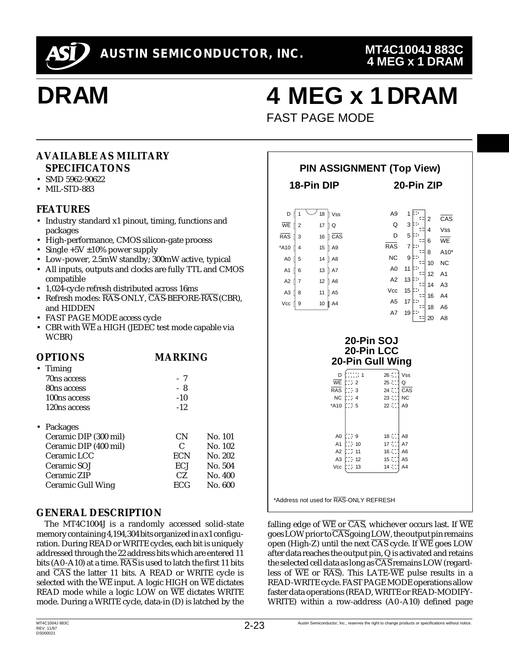

# **DRAM**

## **4 MEG x 1 DRAM**

FAST PAGE MODE

### **AVAILABLE AS MILITARY SPECIFICATONS**

- SMD 5962-90622
- MIL-STD-883

### **FEATURES**

- Industry standard x1 pinout, timing, functions and packages
- High-performance, CMOS silicon-gate process
- Single  $+5V \pm 10\%$  power supply
- Low-power, 2.5mW standby; 300mW active, typical
- All inputs, outputs and clocks are fully TTL and CMOS compatible
- 1,024-cycle refresh distributed across 16ms
- Refresh modes:  $\overline{RAS}$ -ONLY,  $\overline{CAS}$ -BEFORE- $\overline{RAS}$  (CBR), and HIDDEN
- FAST PAGE MODE access cycle
- CBR with  $\overline{\text{WE}}$  a HIGH (JEDEC test mode capable via WCBR)

| <b>OPTIONS</b>        | <b>MARKING</b> |         |
|-----------------------|----------------|---------|
| • Timing              |                |         |
| 70ns access           | - 7            |         |
| 80ns access           | - 8            |         |
| 100ns access          | $-10$          |         |
| 120ns access          | $-12.$         |         |
| • Packages            |                |         |
| Ceramic DIP (300 mil) | СN             | No. 101 |
| Ceramic DIP (400 mil) | C              | No. 102 |
| Ceramic LCC           | ECN            | No. 202 |
| Ceramic SOJ           | ECJ            | No. 504 |
| Ceramic ZIP           | CZ.            | No. 400 |
| Ceramic Gull Wing     | ECG            | No. 600 |
|                       |                |         |

### **GENERAL DESCRIPTION**

The MT4C1004J is a randomly accessed solid-state memory containing 4,194,304 bits organized in a x1 configuration. During READ or WRITE cycles, each bit is uniquely addressed through the 22 address bits which are entered 11 bits (A0-A10) at a time.  $\overline{RAS}$  is used to latch the first 11 bits and  $\overline{CAS}$  the latter 11 bits. A READ or WRITE cycle is selected with the  $\overline{WE}$  input. A logic HIGH on  $\overline{WE}$  dictates READ mode while a logic LOW on  $\overline{WE}$  dictates WRITE mode. During a WRITE cycle, data-in (D) is latched by the

| <b>PIN ASSIGNMENT (Top View)</b>                                                                                                                                     |                                                                                                                                                                                                                                                |                                                                                                                                                                                                                                                                                                                                                                                                                                                                                         |  |  |  |  |  |  |
|----------------------------------------------------------------------------------------------------------------------------------------------------------------------|------------------------------------------------------------------------------------------------------------------------------------------------------------------------------------------------------------------------------------------------|-----------------------------------------------------------------------------------------------------------------------------------------------------------------------------------------------------------------------------------------------------------------------------------------------------------------------------------------------------------------------------------------------------------------------------------------------------------------------------------------|--|--|--|--|--|--|
|                                                                                                                                                                      | 18-Pin DIP                                                                                                                                                                                                                                     | 20-Pin ZIP                                                                                                                                                                                                                                                                                                                                                                                                                                                                              |  |  |  |  |  |  |
| D    1<br>$\overline{\text{WE}}$   2<br>$RAS$ $\overline{I}$<br>$\overline{3}$<br>*A10   4<br>A0 15<br>A1   6<br>A2 $\parallel$ 7<br>A <sub>3</sub> $18$<br>Vcc<br>9 | 18   Vss<br>17<br>ll Q<br>16 <b>CAS</b><br>15   A9<br>14   A8<br>13 A7<br>12   A6<br>11   A5<br>10 <sup>10</sup><br>A4                                                                                                                         | A9<br>1<br>D)<br>$\overline{\text{CAS}}$<br>$\overline{2}$<br>드다<br>Q<br>3<br>$\equiv$ $\pm$ 4<br>Vss<br>D<br>5<br><b>WE</b><br>대<br>6<br>RAS<br>$\overline{7}$<br>Þ<br>$A10*$<br>대<br>8<br><b>NC</b><br>9<br>IΞI<br>대<br><b>NC</b><br>10<br>A <sub>0</sub><br>10 L<br>11<br>대<br>A <sub>1</sub><br>12<br>A2<br>13<br>다<br>A <sub>3</sub><br>ᄗ<br>14<br>Vcc<br>Ξī.<br>15<br>ᄗ<br>16 A4<br>A <sub>5</sub><br>17<br>다그<br>대<br>A <sub>6</sub><br>18<br>A7<br>19<br>되 20<br>A <sub>8</sub> |  |  |  |  |  |  |
|                                                                                                                                                                      | Eccor i<br>D<br><b>WE</b><br>$\frac{1}{2}$ $\frac{1}{2}$<br>$\mathbb{H}$ 3<br><b>RAS</b><br>$\mathbb{Z}$ 4<br><b>NC</b><br>bos s<br>*A10<br>AO $\sqrt{3}$ 9<br>: 7 10<br>A1<br>13, 11<br>A2<br>A3<br>$\mathbb{Z}$ 12<br>$\mathbb{C}$ 13<br>Vcc | 20-Pin SOJ<br>20-Pin LCC<br>20-Pin Gull Wing<br>$26 - 7$<br>Vss<br>$25$ $\degree$<br>Q<br>$24$ CCC<br>CAS<br>23 000<br><b>NC</b><br>22 CL<br>A <sub>9</sub><br>18 (11)<br>A <sub>8</sub><br>17 CL<br>A7<br>16 11<br>A <sub>6</sub><br>15 CL<br>A <sub>5</sub><br>$14 \t1$<br>A4                                                                                                                                                                                                         |  |  |  |  |  |  |

falling edge of  $\overline{WE}$  or  $\overline{CAS}$ , whichever occurs last. If  $\overline{WE}$ goes LOW prior to  $\overline{CAS}$  going LOW, the output pin remains open (High-Z) until the next  $\overline{\text{CAS}}$  cycle. If  $\overline{\text{WE}}$  goes LOW after data reaches the output pin, Q is activated and retains the selected cell data as long as  $\overline{\text{CAS}}$  remains LOW (regardless of  $\overline{WE}$  or  $\overline{RAS}$ . This LATE- $\overline{WE}$  pulse results in a READ-WRITE cycle. FAST PAGE MODE operations allow faster data operations (READ, WRITE or READ-MODIFY-WRITE) within a row-address (A0 -A10) defined page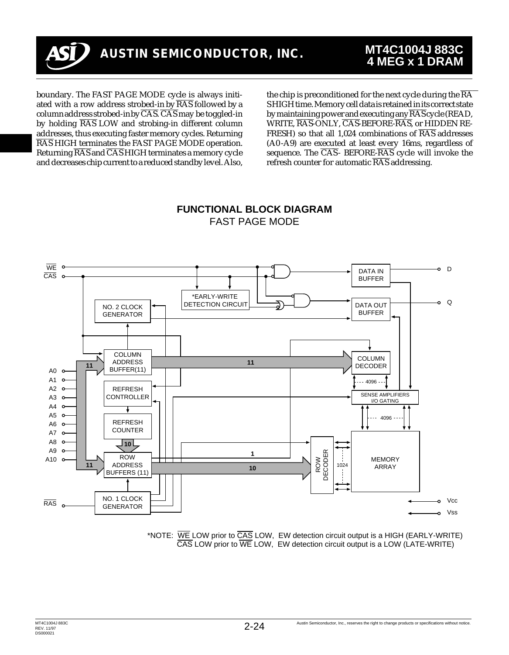

boundary. The FAST PAGE MODE cycle is always initiated with a row address strobed-in by  $\overline{RAS}$  followed by a column address strobed-in by  $\overline{CAS}$ .  $\overline{CAS}$  may be toggled-in by holding  $\overline{RAS}$  LOW and strobing-in different column addresses, thus executing faster memory cycles. Returning RAS HIGH terminates the FAST PAGE MODE operation. Returning  $\overline{RAS}$  and  $\overline{CAS}$  HIGH terminates a memory cycle and decreases chip current to a reduced standby level. Also, the chip is preconditioned for the next cycle during the  $\overline{RA}$ S HIGH time. Memory cell data is retained in its correct state by maintaining power and executing any  $\overline{RAS}$  cycle (READ, WRITE, RAS-ONLY, CAS-BEFORE-RAS, or HIDDEN RE-FRESH) so that all 1.024 combinations of  $\overline{RAS}$  addresses (A0 -A9) are executed at least every 16ms, regardless of sequence. The  $\overline{CAS}$ - BEFORE- $\overline{RAS}$  cycle will invoke the refresh counter for automatic  $\overline{RAS}$  addressing.



#### **FUNCTIONAL BLOCK DIAGRAM** FAST PAGE MODE

\*NOTE: WE LOW prior to CAS LOW, EW detection circuit output is a HIGH (EARLY-WRITE) CAS LOW prior to WE LOW, EW detection circuit output is a LOW (LATE-WRITE)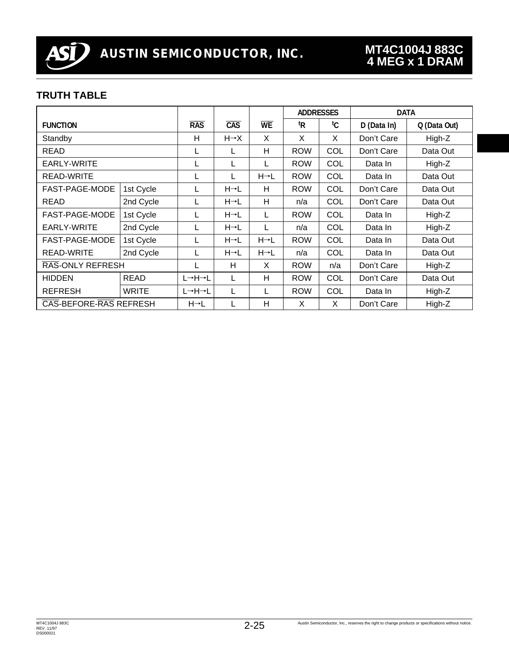

### **TRUTH TABLE**

|                        |              |                   |                   |                   | <b>ADDRESSES</b> |            | <b>DATA</b> |              |
|------------------------|--------------|-------------------|-------------------|-------------------|------------------|------------|-------------|--------------|
| <b>FUNCTION</b>        |              | <b>RAS</b>        | CAS               | <b>WE</b>         | <sup>t</sup> R   | tC.        | D (Data In) | Q (Data Out) |
| Standby                |              | н                 | $H \rightarrow X$ | X                 | X                | X          | Don't Care  | High-Z       |
| <b>READ</b>            |              | L                 | L                 | H                 | <b>ROW</b>       | COL        | Don't Care  | Data Out     |
| EARLY-WRITE            |              |                   |                   | L                 | <b>ROW</b>       | COL        | Data In     | High-Z       |
| READ-WRITE             |              | L                 |                   | $H \rightarrow L$ | <b>ROW</b>       | COL        | Data In     | Data Out     |
| FAST-PAGE-MODE         | 1st Cycle    | L                 | $H \rightarrow L$ | н                 | <b>ROW</b>       | COL        | Don't Care  | Data Out     |
| <b>READ</b>            | 2nd Cycle    | L                 | H→L               | H                 | n/a              | COL        | Don't Care  | Data Out     |
| FAST-PAGE-MODE         | 1st Cycle    | L                 | $H \rightarrow L$ | L                 | <b>ROW</b>       | COL        | Data In     | High-Z       |
| EARLY-WRITE            | 2nd Cycle    | L                 | $H \rightarrow L$ | L                 | n/a              | COL        | Data In     | High-Z       |
| FAST-PAGE-MODE         | 1st Cycle    |                   | H→L               | $H \rightarrow L$ | <b>ROW</b>       | COL        | Data In     | Data Out     |
| RFAD-WRITE             | 2nd Cycle    | L                 | $H \rightarrow L$ | $H \rightarrow L$ | n/a              | COL        | Data In     | Data Out     |
| RAS-ONLY REFRESH       |              | L                 | H                 | X                 | <b>ROW</b>       | n/a        | Don't Care  | High-Z       |
| <b>HIDDEN</b>          | <b>READ</b>  | L→H→L             |                   | H                 | <b>ROW</b>       | COL        | Don't Care  | Data Out     |
| <b>REFRESH</b>         | <b>WRITE</b> | L→H→L             |                   | L                 | <b>ROW</b>       | <b>COL</b> | Data In     | High-Z       |
| CAS-BEFORE-RAS REFRESH |              | $H \rightarrow L$ |                   | H                 | X                | X          | Don't Care  | High-Z       |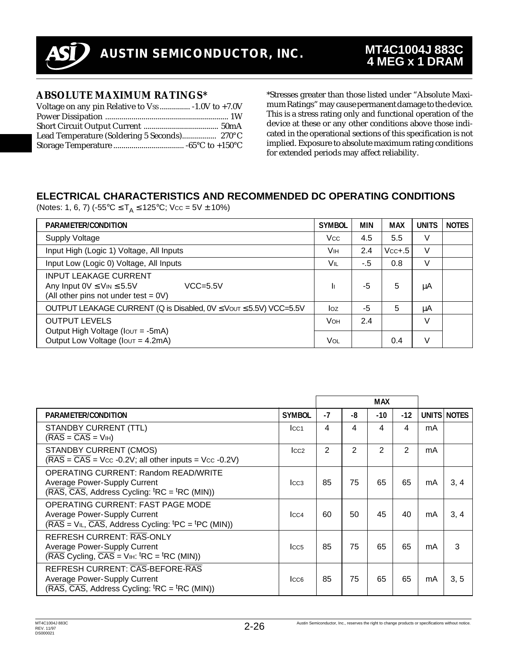

### **ABSOLUTE MAXIMUM RATINGS\***

\*Stresses greater than those listed under "Absolute Maximum Ratings" may cause permanent damage to the device. This is a stress rating only and functional operation of the device at these or any other conditions above those indicated in the operational sections of this specification is not implied. Exposure to absolute maximum rating conditions for extended periods may affect reliability.

## **ELECTRICAL CHARACTERISTICS AND RECOMMENDED DC OPERATING CONDITIONS**

(Notes: 1, 6, 7) (-55°C  $\leq$  T<sub>A</sub>  $\leq$  125°C; Vcc = 5V  $\pm$  10%)

| PARAMETER/CONDITION                                                                                                             | <b>SYMBOL</b> | <b>MIN</b> | <b>MAX</b> | <b>UNITS</b> | <b>NOTES</b> |
|---------------------------------------------------------------------------------------------------------------------------------|---------------|------------|------------|--------------|--------------|
| <b>Supply Voltage</b>                                                                                                           | <b>Vcc</b>    | 4.5        | 5.5        | V            |              |
| Input High (Logic 1) Voltage, All Inputs                                                                                        | Vн            | 2.4        | $Vcc+.5$   | V            |              |
| Input Low (Logic 0) Voltage, All Inputs                                                                                         | <b>VIL</b>    | $-5$       | 0.8        | V            |              |
| <b>INPUT LEAKAGE CURRENT</b><br>Any Input $0V \leq V_{IN} \leq 5.5V$<br>$VCC = 5.5V$<br>(All other pins not under test $= 0V$ ) | h             | -5         | 5          | μA           |              |
| OUTPUT LEAKAGE CURRENT (Q is Disabled, $0 \vee \leq V$ out $\leq 5.5 V$ ) VCC=5.5V                                              | log           | -5         | 5          | μA           |              |
| <b>OUTPUT LEVELS</b><br>Output High Voltage ( $I$ out = -5mA)                                                                   | <b>VOH</b>    | 2.4        |            | V            |              |
| Output Low Voltage (Iout = 4.2mA)                                                                                               | Vol           |            | 0.4        | V            |              |

|                                                                                                                                                              |                  |      |    | <b>MAX</b> |       |    |             |
|--------------------------------------------------------------------------------------------------------------------------------------------------------------|------------------|------|----|------------|-------|----|-------------|
| PARAMETER/CONDITION                                                                                                                                          | <b>SYMBOL</b>    | $-7$ | -8 | $-10$      | $-12$ |    | UNITS NOTES |
| STANDBY CURRENT (TTL)<br>$(RAS = CAS = VIH)$                                                                                                                 | ICC <sub>1</sub> | 4    | 4  | 4          | 4     | mA |             |
| STANDBY CURRENT (CMOS)<br>$(RAS = \overline{CAS} = \text{Vcc -0.2V}$ ; all other inputs = Vcc -0.2V)                                                         | $_{\text{LCC2}}$ | 2    | 2  | 2          | 2     | mA |             |
| OPERATING CURRENT: Random READ/WRITE<br>Average Power-Supply Current<br>$(RAS, \overline{CAS},$ Address Cycling: ${}^tRC = {}^tRC$ (MIN))                    | $_{\text{LCA}}$  | 85   | 75 | 65         | 65    | mA | 3, 4        |
| OPERATING CURRENT: FAST PAGE MODE<br>Average Power-Supply Current<br>$(RAS = VIL, \overline{CAS},$ Address Cycling: <sup>t</sup> PC = <sup>t</sup> PC (MIN)) | LCA              | 60   | 50 | 45         | 40    | mA | 3, 4        |
| REFRESH CURRENT: RAS-ONLY<br>Average Power-Supply Current<br>$(RAS$ Cycling, $\overline{CAS}$ = V <sub>IH</sub> : <sup>t</sup> RC = <sup>t</sup> RC (MIN))   | ICC <sub>5</sub> | 85   | 75 | 65         | 65    | mA | 3           |
| REFRESH CURRENT: CAS-BEFORE-RAS<br>Average Power-Supply Current<br>$(RAS, \overline{CAS},$ Address Cycling: ${}^{t}RC = {}^{t}RC$ (MIN))                     | ICC <sub>6</sub> | 85   | 75 | 65         | 65    | mA | 3, 5        |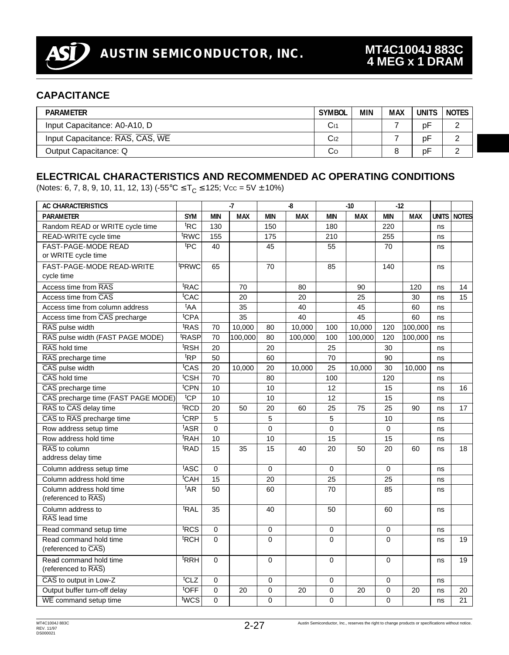

### **CAPACITANCE**

| <b>PARAMETER</b>                | <b>SYMBOL</b>   | MIN | <b>MAX</b> | UNITS | <b>NOTES</b> |
|---------------------------------|-----------------|-----|------------|-------|--------------|
| Input Capacitance: A0-A10, D    | Сr              |     |            | рF    |              |
| Input Capacitance: RAS, CAS, WE | C <sub>12</sub> |     |            | рF    |              |
| Output Capacitance: Q           | Co              |     |            | pF    |              |

## **ELECTRICAL CHARACTERISTICS AND RECOMMENDED AC OPERATING CONDITIONS**

(Notes: 6, 7, 8, 9, 10, 11, 12, 13) ( $-55^{\circ}$ C  $\leq T_c \leq 125$ ; Vcc =  $5V \pm 10\%$ )

| <b>AC CHARACTERISTICS</b>                 |                   |             | $-7$       |                 | -8         |             | $-10$      | $-12$           |            |              |              |
|-------------------------------------------|-------------------|-------------|------------|-----------------|------------|-------------|------------|-----------------|------------|--------------|--------------|
| <b>PARAMETER</b>                          | <b>SYM</b>        | <b>MIN</b>  | <b>MAX</b> | <b>MIN</b>      | <b>MAX</b> | <b>MIN</b>  | <b>MAX</b> | <b>MIN</b>      | <b>MAX</b> | <b>UNITS</b> | <b>NOTES</b> |
| Random READ or WRITE cycle time           | <sup>t</sup> RC   | 130         |            | 150             |            | 180         |            | 220             |            | ns           |              |
| READ-WRITE cycle time                     | <sup>t</sup> RWC  | 155         |            | 175             |            | 210         |            | 255             |            | ns           |              |
| FAST-PAGE-MODE READ                       | tpC               | 40          |            | 45              |            | 55          |            | 70              |            | ns           |              |
| or WRITE cycle time                       |                   |             |            |                 |            |             |            |                 |            |              |              |
| FAST-PAGE-MODE READ-WRITE                 | <sup>t</sup> PRWC | 65          |            | 70              |            | 85          |            | 140             |            | ns           |              |
| cycle time                                |                   |             |            |                 |            |             |            |                 |            |              |              |
| Access time from RAS                      | <sup>t</sup> RAC  |             | 70         |                 | 80         |             | 90         |                 | 120        | ns           | 14           |
| Access time from CAS                      | <sup>t</sup> CAC  |             | 20         |                 | 20         |             | 25         |                 | 30         | ns           | 15           |
| Access time from column address           | <sup>t</sup> AA   |             | 35         |                 | 40         |             | 45         |                 | 60         | ns           |              |
| Access time from CAS precharge            | t <sub>CPA</sub>  |             | 35         |                 | 40         |             | 45         |                 | 60         | ns           |              |
| RAS pulse width                           | t <sub>RAS</sub>  | 70          | 10,000     | 80              | 10,000     | 100         | 10,000     | 120             | 100,000    | ns           |              |
| RAS pulse width (FAST PAGE MODE)          | <sup>t</sup> RASP | 70          | 100,000    | 80              | 100,000    | 100         | 100,000    | 120             | 100,000    | ns           |              |
| RAS hold time                             | <sup>t</sup> RSH  | 20          |            | 20              |            | 25          |            | 30              |            | ns           |              |
| RAS precharge time                        | <sup>t</sup> RP   | 50          |            | 60              |            | 70          |            | 90              |            | ns           |              |
| CAS pulse width                           | t <sub>CAS</sub>  | 20          | 10.000     | 20              | 10,000     | 25          | 10.000     | 30              | 10,000     | ns           |              |
| CAS hold time                             | <sup>t</sup> CSH  | 70          |            | 80              |            | 100         |            | 120             |            | ns           |              |
| $\overline{\mathrm{CAS}}$ precharge time  | <sup>t</sup> CPN  | 10          |            | 10              |            | 12          |            | 15              |            | ns           | 16           |
| CAS precharge time (FAST PAGE MODE)       | <sup>t</sup> CP   | 10          |            | 10              |            | 12          |            | 15              |            | ns           |              |
| RAS to CAS delay time                     | <sup>t</sup> RCD  | 20          | 50         | 20              | 60         | 25          | 75         | 25              | 90         | ns           | 17           |
| CAS to RAS precharge time                 | <sup>t</sup> CRP  | 5           |            | 5               |            | 5           |            | 10              |            | ns           |              |
| Row address setup time                    | t <sub>ASR</sub>  | $\Omega$    |            | $\Omega$        |            | $\Omega$    |            | $\Omega$        |            | ns           |              |
| Row address hold time                     | <sup>t</sup> RAH  | 10          |            | 10              |            | 15          |            | 15              |            | ns           |              |
| RAS to column                             | <sup>t</sup> RAD  | 15          | 35         | 15              | 40         | 20          | 50         | 20              | 60         | ns           | 18           |
| address delay time                        |                   |             |            |                 |            |             |            |                 |            |              |              |
| Column address setup time                 | t <sub>ASC</sub>  | $\mathbf 0$ |            | 0               |            | 0           |            | 0               |            | ns           |              |
| Column address hold time                  | <sup>t</sup> CAH  | 15          |            | $\overline{20}$ |            | 25          |            | $\overline{25}$ |            | ns           |              |
| Column address hold time                  | <sup>t</sup> AR   | 50          |            | 60              |            | 70          |            | 85              |            | ns           |              |
| (referenced to RAS)                       |                   |             |            |                 |            |             |            |                 |            |              |              |
| Column address to                         | <sup>t</sup> RAL  | 35          |            | 40              |            | 50          |            | 60              |            | ns           |              |
| RAS lead time                             |                   |             |            |                 |            |             |            |                 |            |              |              |
| Read command setup time                   | t <sub>RCS</sub>  | $\mathbf 0$ |            | 0               |            | 0           |            | $\mathbf 0$     |            | ns           |              |
| Read command hold time                    | <sup>t</sup> RCH  | $\Omega$    |            | 0               |            | $\mathbf 0$ |            | $\mathbf 0$     |            | ns           | 19           |
| (referenced to CAS)                       |                   |             |            |                 |            |             |            |                 |            |              |              |
| Read command hold time                    | <sup>t</sup> RRH  | $\mathbf 0$ |            | 0               |            | $\pmb{0}$   |            | $\mathbf 0$     |            | ns           | 19           |
| (referenced to RAS)                       |                   |             |            |                 |            |             |            |                 |            |              |              |
| CAS to output in Low-Z                    | <sup>t</sup> CLZ  | $\mathbf 0$ |            | 0               |            | $\mathbf 0$ |            | $\mathbf 0$     |            | ns           |              |
| Output buffer turn-off delay              | <sup>t</sup> OFF  | $\mathbf 0$ | 20         | 0               | 20         | $\mathbf 0$ | 20         | $\mathbf 0$     | 20         | ns           | 20           |
| $\overline{\text{WE}}$ command setup time | t <sub>WCS</sub>  | $\Omega$    |            | $\Omega$        |            | $\Omega$    |            | $\Omega$        |            | ns           | 21           |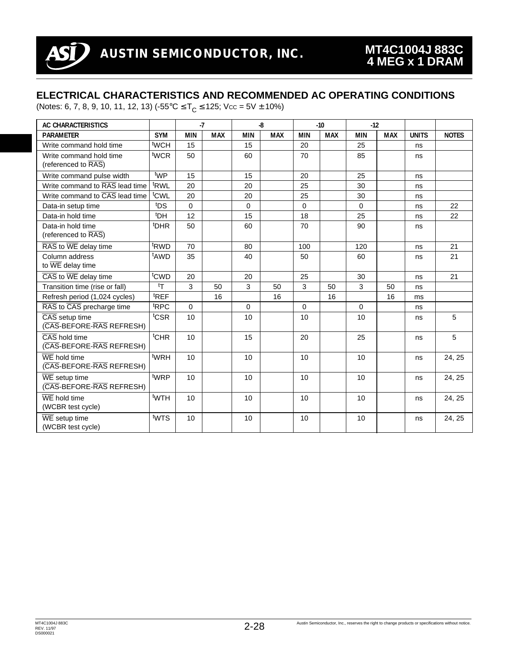### **ELECTRICAL CHARACTERISTICS AND RECOMMENDED AC OPERATING CONDITIONS**

(Notes: 6, 7, 8, 9, 10, 11, 12, 13)  $(-55^{\circ} \text{C} \leq T_{\text{C}} \leq 125; \text{Vec} = 5\text{V} \pm 10\%)$ 

| AC CHARACTERISTICS                                            |                  | $-7$       |            |             | $-8$       | $-10$      |            | $-12$      |            |              |              |  |
|---------------------------------------------------------------|------------------|------------|------------|-------------|------------|------------|------------|------------|------------|--------------|--------------|--|
| <b>PARAMETER</b>                                              | <b>SYM</b>       | <b>MIN</b> | <b>MAX</b> | <b>MIN</b>  | <b>MAX</b> | <b>MIN</b> | <b>MAX</b> | <b>MIN</b> | <b>MAX</b> | <b>UNITS</b> | <b>NOTES</b> |  |
| Write command hold time                                       | t <sub>WCH</sub> | 15         |            | 15          |            | 20         |            | 25         |            | ns           |              |  |
| Write command hold time<br>(referenced to RAS)                | <sup>t</sup> WCR | 50         |            | 60          |            | 70         |            | 85         |            | ns           |              |  |
| Write command pulse width                                     | twp              | 15         |            | 15          |            | 20         |            | 25         |            | ns           |              |  |
| Write command to RAS lead time                                | <sup>t</sup> RWL | 20         |            | 20          |            | 25         |            | 30         |            | ns           |              |  |
| Write command to CAS lead time                                | <sup>t</sup> CWL | 20         |            | 20          |            | 25         |            | 30         |            | ns           |              |  |
| Data-in setup time                                            | <sup>t</sup> DS  | $\Omega$   |            | $\Omega$    |            | $\Omega$   |            | $\Omega$   |            | ns           | 22           |  |
| Data-in hold time                                             | <sup>t</sup> DH  | 12         |            | 15          |            | 18         |            | 25         |            | ns           | 22           |  |
| Data-in hold time<br>(referenced to RAS)                      | <sup>t</sup> DHR | 50         |            | 60          |            | 70         |            | 90         |            | ns           |              |  |
| RAS to WE delay time                                          | <sup>t</sup> RWD | 70         |            | 80          |            | 100        |            | 120        |            | ns           | 21           |  |
| Column address<br>to $\overline{\text{WE}}$ delay time        | <sup>t</sup> AWD | 35         |            | 40          |            | 50         |            | 60         |            | ns           | 21           |  |
| $\overline{\text{CAS}}$ to $\overline{\text{WE}}$ delay time  | <sup>t</sup> CWD | 20         |            | 20          |            | 25         |            | 30         |            | ns           | 21           |  |
| Transition time (rise or fall)                                | tτ               | 3          | 50         | 3           | 50         | 3          | 50         | 3          | 50         | ns           |              |  |
| Refresh period (1,024 cycles)                                 | <sup>t</sup> REF |            | 16         |             | 16         |            | 16         |            | 16         | ms           |              |  |
| RAS to CAS precharge time                                     | <sup>t</sup> RPC | 0          |            | $\mathbf 0$ |            | $\Omega$   |            | $\Omega$   |            | ns           |              |  |
| CAS setup time<br>(CAS-BEFORE-RAS REFRESH)                    | <sup>t</sup> CSR | 10         |            | 10          |            | 10         |            | 10         |            | ns           | 5            |  |
| CAS hold time<br>(CAS-BEFORE-RAS REFRESH)                     | <sup>t</sup> CHR | 10         |            | 15          |            | 20         |            | 25         |            | ns           | 5            |  |
| $\overline{\text{WE}}$ hold time<br>(CAS-BEFORE-RAS REFRESH)  | <sup>t</sup> WRH | 10         |            | 10          |            | 10         |            | 10         |            | ns           | 24, 25       |  |
| $\overline{\text{WE}}$ setup time<br>(CAS-BEFORE-RAS REFRESH) | t <sub>WRP</sub> | 10         |            | 10          |            | 10         |            | 10         |            | ns           | 24, 25       |  |
| $\overline{\text{WE}}$ hold time<br>(WCBR test cycle)         | <sup>t</sup> WTH | 10         |            | 10          |            | 10         |            | 10         |            | ns           | 24, 25       |  |
| $\overline{\text{WE}}$ setup time<br>(WCBR test cycle)        | tw <sub>TS</sub> | 10         |            | 10          |            | 10         |            | 10         |            | ns           | 24, 25       |  |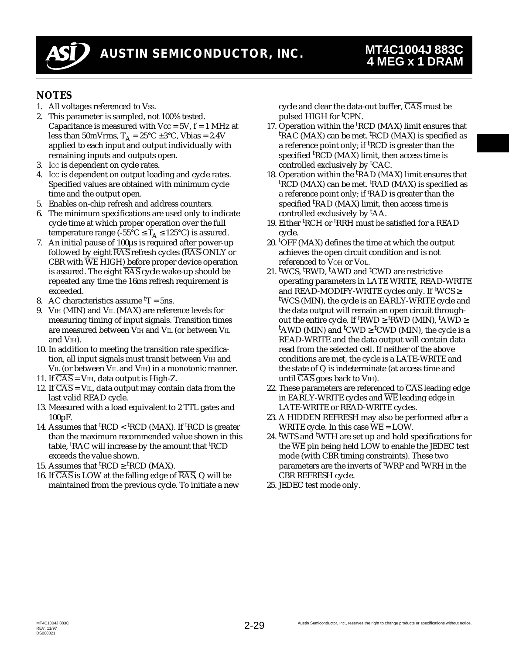

### **NOTES**

- 1. All voltages referenced to Vss.
- 2. This parameter is sampled, not 100% tested. Capacitance is measured with  $Vec = 5V$ ,  $f = 1$  MHz at less than 50mVrms,  $T_A = 25^{\circ}C \pm 3^{\circ}C$ , Vbias = 2.4V applied to each input and output individually with remaining inputs and outputs open.
- 3. ICC is dependent on cycle rates.
- 4. ICC is dependent on output loading and cycle rates. Specified values are obtained with minimum cycle time and the output open.
- 5. Enables on-chip refresh and address counters.
- 6. The minimum specifications are used only to indicate cycle time at which proper operation over the full temperature range (-55°C  $\leq$  T<sub>A</sub>  $\leq$  125°C) is assured.
- 7. An initial pause of 100µs is required after power-up followed by eight  $\overline{RAS}$  refresh cycles ( $\overline{RAS}$ -ONLY or CBR with  $\overline{\text{WE}}$  HIGH) before proper device operation is assured. The eight  $\overline{RAS}$  cycle wake-up should be repeated any time the 16ms refresh requirement is exceeded.
- 8. AC characteristics assume  $T = 5$ ns.
- 9. VIH (MIN) and VIL (MAX) are reference levels for measuring timing of input signals. Transition times are measured between VIH and VIL (or between VIL and VIH).
- 10. In addition to meeting the transition rate specification, all input signals must transit between VIH and VIL (or between VIL and VIH) in a monotonic manner.
- 11. If  $\overline{CAS}$  = V<sub>IH</sub>, data output is High-Z.
- 12. If  $\overline{CAS} = VII$ , data output may contain data from the last valid READ cycle.
- 13. Measured with a load equivalent to 2 TTL gates and 100pF.
- 14. Assumes that <sup>t</sup>RCD < <sup>t</sup>RCD (MAX). If <sup>t</sup>RCD is greater than the maximum recommended value shown in this table, <sup>t</sup>RAC will increase by the amount that <sup>t</sup>RCD exceeds the value shown.
- 15. Assumes that  ${}^{\text{t}}\text{RCD} \ge {}^{\text{t}}\text{RCD}$  (MAX).
- 16. If  $\overline{CAS}$  is LOW at the falling edge of  $\overline{RAS}$ , Q will be maintained from the previous cycle. To initiate a new

cycle and clear the data-out buffer,  $\overline{CAS}$  must be pulsed HIGH for <sup>t</sup>CPN.

- 17. Operation within the <sup>t</sup>RCD (MAX) limit ensures that <sup>t</sup>RAC (MAX) can be met. <sup>t</sup>RCD (MAX) is specified as a reference point only; if <sup>t</sup>RCD is greater than the specified <sup>t</sup>RCD (MAX) limit, then access time is controlled exclusively by <sup>t</sup>CAC.
- 18. Operation within the <sup>t</sup>RAD (MAX) limit ensures that <sup>t</sup>RCD (MAX) can be met. <sup>t</sup>RAD (MAX) is specified as a reference point only; if 'RAD is greater than the specified <sup>t</sup>RAD (MAX) limit, then access time is controlled exclusively by <sup>t</sup>AA.
- 19. Either <sup>t</sup>RCH or <sup>t</sup>RRH must be satisfied for a READ cycle.
- 20. <sup>t</sup>OFF (MAX) defines the time at which the output achieves the open circuit condition and is not referenced to VOH or VOL.
- 21. <sup>t</sup> WCS, <sup>t</sup> RWD, t AWD and <sup>t</sup> CWD are restrictive operating parameters in LATE WRITE, READ-WRITE and READ-MODIFY-WRITE cycles only. If t WCS ≥ t WCS (MIN), the cycle is an EARLY-WRITE cycle and the data output will remain an open circuit throughout the entire cycle. If <sup>t</sup>RWD ≥ <sup>t</sup>RWD (MIN), <sup>t</sup>AWD ≥ <sup>t</sup>AWD (MIN) and <sup>t</sup>CWD  $\geq$  <sup>t</sup>CWD (MIN), the cycle is a READ-WRITE and the data output will contain data read from the selected cell. If neither of the above conditions are met, the cycle is a LATE-WRITE and the state of Q is indeterminate (at access time and until  $\overline{CAS}$  goes back to VIH).
- 22. These parameters are referenced to  $\overline{CAS}$  leading edge in EARLY-WRITE cycles and  $\overline{\text{WE}}$  leading edge in LATE-WRITE or READ-WRITE cycles.
- 23. A HIDDEN REFRESH may also be performed after a WRITE cycle. In this case  $\overline{WE} = \angle LOW$ .
- 24. <sup>t</sup> WTS and <sup>t</sup> WTH are set up and hold specifications for the  $\overline{\text{WE}}$  pin being held LOW to enable the JEDEC test mode (with CBR timing constraints). These two parameters are the inverts of <sup>t</sup>WRP and <sup>t</sup>WRH in the CBR REFRESH cycle.
- 25. JEDEC test mode only.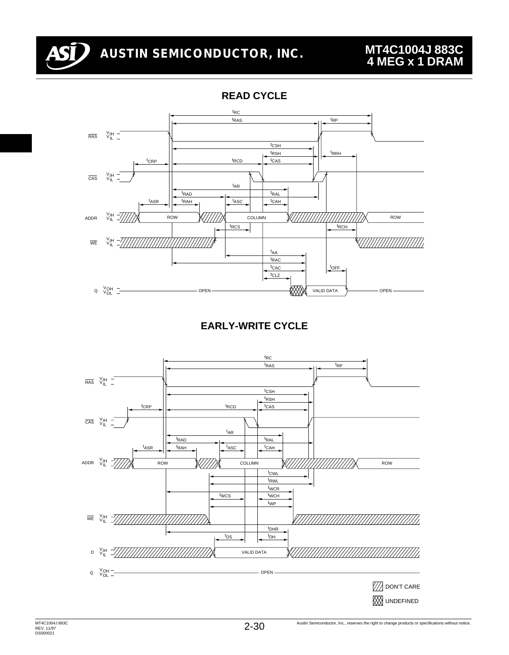

**READ CYCLE**



**EARLY-WRITE CYCLE**

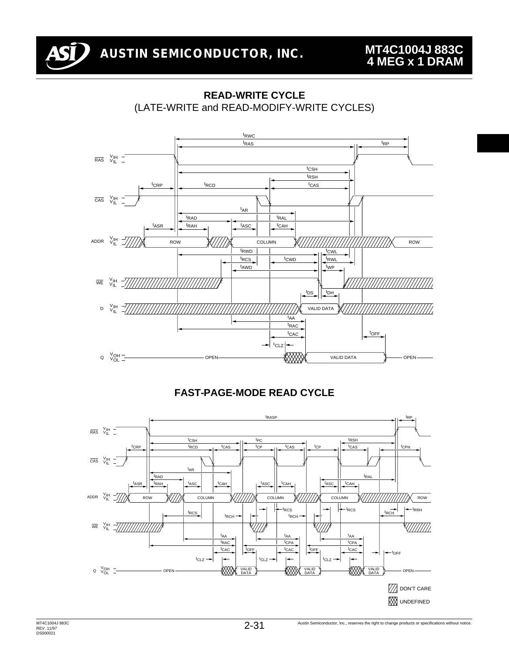



### **READ-WRITE CYCLE** (LATE-WRITE and READ-MODIFY-WRITE CYCLES)



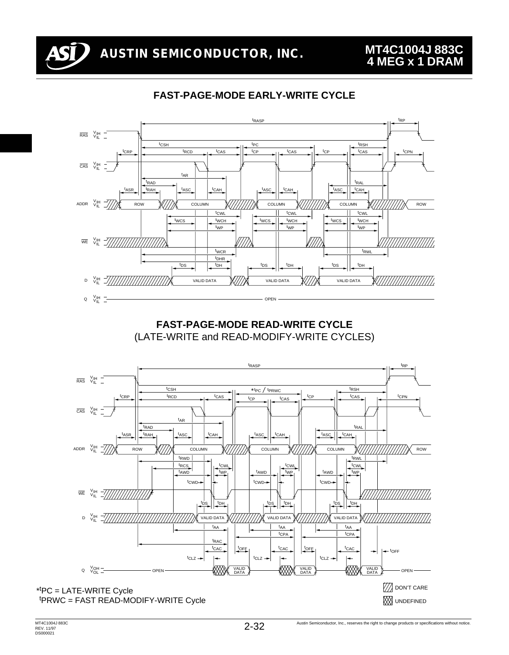

### **FAST-PAGE-MODE EARLY-WRITE CYCLE**



**FAST-PAGE-MODE READ-WRITE CYCLE** (LATE-WRITE and READ-MODIFY-WRITE CYCLES)

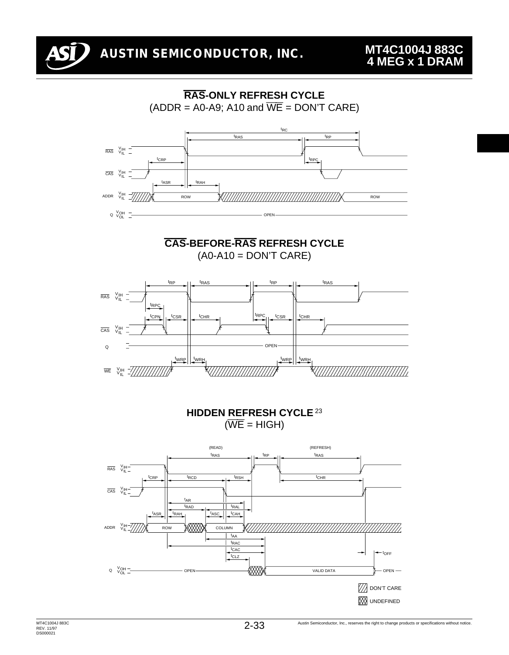

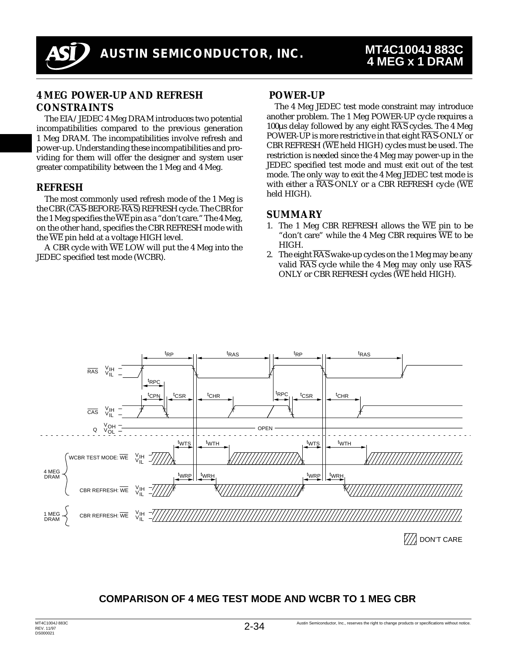

#### **4 MEG POWER-UP AND REFRESH CONSTRAINTS**

The EIA/JEDEC 4 Meg DRAM introduces two potential incompatibilities compared to the previous generation 1 Meg DRAM. The incompatibilities involve refresh and power-up. Understanding these incompatibilities and providing for them will offer the designer and system user greater compatibility between the 1 Meg and 4 Meg.

#### **REFRESH**

The most commonly used refresh mode of the 1 Meg is the CBR (CAS-BEFORE-RAS) REFRESH cycle. The CBR for the 1 Meg specifies the  $\overline{\text{WE}}$  pin as a "don't care." The 4 Meg, on the other hand, specifies the CBR REFRESH mode with the  $\overline{\text{WE}}$  pin held at a voltage HIGH level.

A CBR cycle with  $\overline{\text{WE}}$  LOW will put the 4 Meg into the JEDEC specified test mode (WCBR).

#### **POWER-UP**

The 4 Meg JEDEC test mode constraint may introduce another problem. The 1 Meg POWER-UP cycle requires a 100 $\mu$ s delay followed by any eight  $\overline{RAS}$  cycles. The 4 Meg POWER-UP is more restrictive in that eight  $R\overline{AS}$ -ONLY or CBR REFRESH ( $\overline{\text{WE}}$  held HIGH) cycles must be used. The restriction is needed since the 4 Meg may power-up in the JEDEC specified test mode and must exit out of the test mode. The only way to exit the 4 Meg JEDEC test mode is with either a  $\overline{\text{RAS}}$ -ONLY or a CBR REFRESH cycle ( $\overline{\text{WE}}$ held HIGH).

#### **SUMMARY**

- 1. The 1 Meg CBR REFRESH allows the  $\overline{WE}$  pin to be "don't care" while the 4 Meg CBR requires  $\overline{\text{WE}}$  to be HIGH.
- 2. The eight  $\overline{RAS}$  wake-up cycles on the 1 Meg may be any valid  $\overline{RAS}$  cycle while the 4 Meg may only use  $\overline{RAS}$ -ONLY or CBR REFRESH cycles  $(\overline{\text{WE}}$  held HIGH).



#### **COMPARISON OF 4 MEG TEST MODE AND WCBR TO 1 MEG CBR**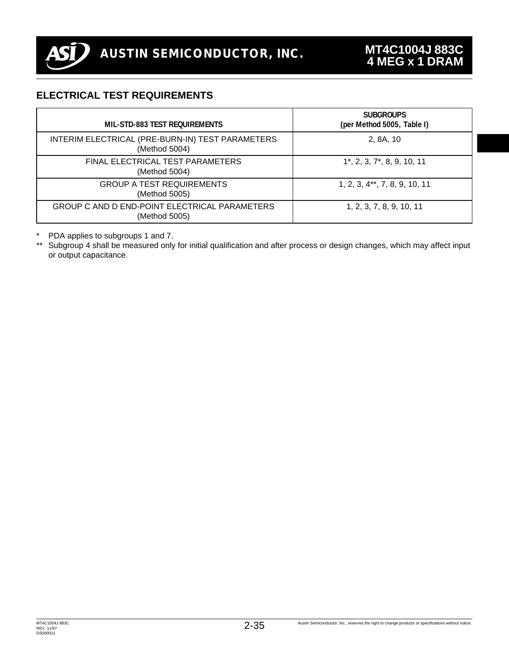

### **ELECTRICAL TEST REQUIREMENTS**

| MIL-STD-883 TEST REQUIREMENTS                                     | <b>SUBGROUPS</b><br>(per Method 5005, Table I) |
|-------------------------------------------------------------------|------------------------------------------------|
| INTERIM ELECTRICAL (PRE-BURN-IN) TEST PARAMETERS<br>(Method 5004) | 2, 8A, 10                                      |
| FINAL ELECTRICAL TEST PARAMETERS<br>(Method 5004)                 | $1^*$ , 2, 3, 7 $^*$ , 8, 9, 10, 11            |
| <b>GROUP A TEST REQUIREMENTS</b><br>(Method 5005)                 | 1, 2, 3, 4**, 7, 8, 9, 10, 11                  |
| GROUP C AND D END-POINT ELECTRICAL PARAMETERS<br>(Method 5005)    | 1, 2, 3, 7, 8, 9, 10, 11                       |

\* PDA applies to subgroups 1 and 7.

\*\* Subgroup 4 shall be measured only for initial qualification and after process or design changes, which may affect input or output capacitance.